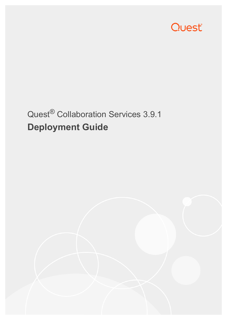

# Quest® Collaboration Services 3.9.1 **Deployment Guide**

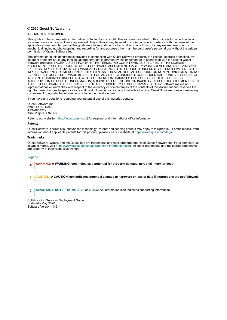#### **© 2020 Quest Software Inc.**

#### **ALL RIGHTS RESERVED.**

This guide contains proprietary information protected by copyright. The software described in this guide is furnished under a software license or nondisclosure agreement. This software may be used or copied only in accordance with the terms of the applicable agreement. No part of this guide may be reproduced or transmitted in any form or by any means, electronic or mechanical, including photocopying and recording for any purpose other than the purchaser's personal use without the written permission of Quest Software Inc.

The information in this document is provided in connection with Quest Software products. No license, express or implied, by estoppel or otherwise, to any intellectual property right is granted by this document or in connection with the sale of Quest<br>Software products. EXCEPT AS SET FORTH IN THE TERMS AND CONDITIONS AS SPECIFIED IN THE LICENSE<br>A EXPRESS, IMPLIED OR STATUTORY WARRANTY RELATING TO ITS PRODUCTS INCLUDING, BUT NOT LIMITED TO, THE IMPLIED WARRANTY OF MERCHANTABILITY, FITNESS FOR A PARTICULAR PURPOSE, OR NON-INFRINGEMENT. IN NO EVENT SHALL QUEST SOFTWARE BE LIABLE FOR ANY DIRECT, INDIRECT, CONSEQUENTIAL, PUNITIVE, SPECIAL OR INCIDENTAL DAMAGES (INCLUDING, WITHOUT LIMITATION, DAMAGES FOR LOSS OF PROFITS, BUSINESS<br>INTERRUPTION OR LOSS OF INFORMATION) ARISING OUT OF THE USE OR INABILITY TO USE THIS DOCUMENT, EVEN IF QUEST SOFTWARE HAS BEEN ADVISED OF THE POSSIBILITY OF SUCH DAMAGES. Quest Software makes no representations or warranties with respect to the accuracy or completeness of the contents of this document and reserves the right to make changes to specifications and product descriptions at any time without notice. Quest Software does not make any commitment to update the information contained in this document.

If you have any questions regarding your potential use of this material, contact:

Quest Software Inc. Attn: LEGAL Dept. 4 Polaris Way Aliso Viejo, CA 92656

Refer to our website [\(https://www.quest.com](https://www.quest.com)) for regional and international office information.

#### **Patents**

Quest Software is proud of our advanced technology. Patents and pending patents may apply to this product. For the most current information about applicable patents for this product, please visit our website at [https://www.quest.com/legal.](https://www.quest.com/legal)

#### **Trademarks**

Quest Software, Quest, and the Quest logo are trademarks and registered trademarks of Quest Software Inc. For a complete list of Quest marks, visit <https://www.quest.com/legal/trademark-information.aspx>. All other trademarks and registered trademarks are property of their respective owners.

#### **Legend**

- **WARNING: A WARNING icon indicates a potential for property damage, personal injury, or death.**
- **CAUTION: A CAUTION icon indicates potential damage to hardware or loss of data if instructions are not followed.** Ţ

**IMPORTANT**, **NOTE**, **TIP**, **MOBILE**, or **VIDEO:** An information icon indicates supporting information.î.

Collaboration Services Deployment Guide Updated - May 2020 Software Version - 3.9.1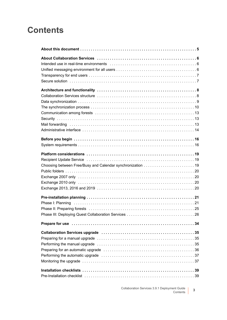## **Contents**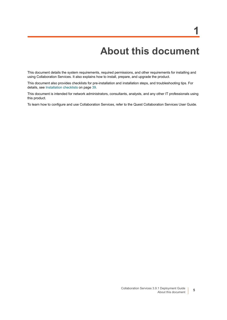# **About this document**

<span id="page-4-0"></span>This document details the system requirements, required permissions, and other requirements for installing and using Collaboration Services. It also explains how to install, prepare, and upgrade the product.

This document also provides checklists for pre-installation and installation steps, and troubleshooting tips. For details, see [Installation checklists on page 39.](#page-38-4)

This document is intended for network administrators, consultants, analysts, and any other IT professionals using this product.

To learn how to configure and use Collaboration Services, refer to the Quest Collaboration Services User Guide.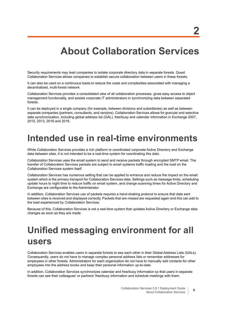# **About Collaboration Services**

<span id="page-5-0"></span>Security requirements may lead companies to isolate corporate directory data in separate forests. Quest Collaboration Services allows companies to establish secure collaboration between users in these forests.

It can also be used on a continuous basis to reduce the costs and complexities associated with managing a decentralized, multi-forest network.

Collaboration Services provides a consolidated view of all collaboration processes, gives easy access to object management functionality, and assists corporate IT administrators in synchronizing data between separated forests.

It can be deployed in a single company (for example, between divisions and subsidiaries) as well as between separate companies (partners, consultants, and vendors). Collaboration Services allows for granular and selective data synchronization, including global address list (GAL), free/busy and calendar information in Exchange 2007, 2010, 2013, 2016 and 2019.

## <span id="page-5-1"></span>**Intended use in real-time environments**

While Collaboration Services provides a rich platform to coordinated corporate Active Directory and Exchange data between sites, it is not intended to be a real-time system for coordinating this data.

Collaboration Services uses the email system to send and receive packets through encrypted SMTP email. The transfer of Collaboration Services packets are subject to email systems traffic loading and the load on the Collaboration Services system itself.

Collaboration Services has numerous setting that can be applied to enhance and reduce the impact on the email system which is the primary transport for Collaboration Services data. Settings such as message limits, scheduling update hours to night time to reduce traffic on email system, and change scanning times for Active Directory and Exchange are configurable to the Administrator.

In addition, Collaboration Services use of packets requires a hand-shaking protocol to ensure that data sent between sites is received and displayed correctly. Packets that are missed are requested again and this can add to the load experienced by Collaboration Services.

Because of this, Collaboration Services is not a real-time system that updates Active Directory or Exchange data changes as soon as they are made.

# <span id="page-5-2"></span>**Unified messaging environment for all users**

Collaboration Services enables users in separate forests to see each other in their Global Address Lists (GALs). Consequently, users do not have to manage complex personal address lists or remember addresses for employees in other forests. Administrators for each organization do not have to manually add contacts for other employees into the address books and keep their personal information up-to-date.

In addition, Collaboration Services synchronizes calendar and free/busy information so that users in separate forests can see their colleagues' or partners' free/busy information and schedule meetings with them.

**2**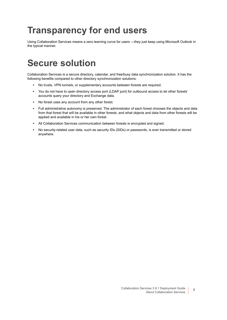# <span id="page-6-0"></span>**Transparency for end users**

Using Collaboration Services means a zero learning curve for users —they just keep using Microsoft Outlook in the typical manner.

## <span id="page-6-1"></span>**Secure solution**

Collaboration Services is a secure directory, calendar, and free/busy data synchronization solution. It has the following benefits compared to other directory synchronization solutions:

- **•** No trusts, VPN tunnels, or supplementary accounts between forests are required.
- **•** You do not have to open directory access port (LDAP port) for outbound access to let other forests' accounts query your directory and Exchange data.
- **•** No forest uses any account from any other forest.
- **•** Full administrative autonomy is preserved. The administrator of each forest chooses the objects and data from that forest that will be available in other forests, and what objects and data from other forests will be applied and available in his or her own forest.
- **•** All Collaboration Services communication between forests is encrypted and signed.
- **•** No security-related user data, such as security IDs (SIDs) or passwords, is ever transmitted or stored anywhere.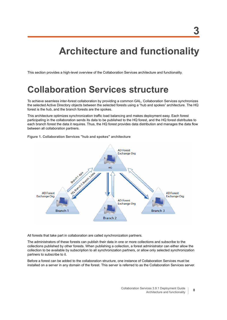# **Architecture and functionality**

<span id="page-7-0"></span>This section provides a high-level overview of the Collaboration Services architecture and functionality.

## <span id="page-7-1"></span>**Collaboration Services structure**

To achieve seamless inter-forest collaboration by providing a common GAL, Collaboration Services synchronizes the selected Active Directory objects between the selected forests using a "hub and spokes" architecture. The HQ forest is the hub, and the branch forests are the spokes.

This architecture optimizes synchronization traffic load balancing and makes deployment easy. Each forest participating in the collaboration sends its data to be published to the HQ forest, and the HQ forest distributes to each branch forest the data it requires. Thus, the HQ forest provides data distribution and manages the data flow between all collaboration partners.



**Figure 1. Collaboration Services "hub and spokes" architecture**

All forests that take part in collaboration are called synchronization partners.

The administrators of these forests can publish their data in one or more collections and subscribe to the collections published by other forests. When publishing a collection, a forest administrator can either allow the collection to be available by subscription to all synchronization partners, or allow only selected synchronization partners to subscribe to it.

Before a forest can be added to the collaboration structure, one instance of Collaboration Services must be installed on a server in any domain of the forest. This server is referred to as the Collaboration Services server.

**8**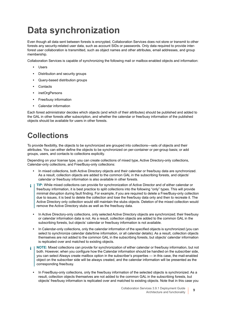# <span id="page-8-0"></span>**Data synchronization**

Even though all data sent between forests is encrypted, Collaboration Services does not store or transmit to other forests any security-related user data, such as account SIDs or passwords. Only data required to provide interforest user collaboration is transmitted, such as object names and other attributes, email addresses, and group membership.

Collaboration Services is capable of synchronizing the following mail or mailbox-enabled objects and information:

- **•** Users
- **•** Distribution and security groups
- **•** Query-based distribution groups
- **•** Contacts
- **•** inetOrgPersons
- **•** Free/busy information
- **•** Calendar information

Each forest administrator decides which objects (and which of their attributes) should be published and added to the GAL in other forests after subscription, and whether the calendar or free/busy information of the published objects should be available for users in other forests.

## <span id="page-8-1"></span>**Collections**

To provide flexibility, the objects to be synchronized are grouped into collections—sets of objects and their attributes. You can either define the objects to be synchronized on per-container or per-group basis; or add groups, users, and contacts to collections explicitly.

Depending on your license type, you can create collections of mixed type, Active Directory-only collections, Calendar-only collections, and Free/Busy-only collections:

- **•** In mixed collections, both Active Directory objects and their calendar or free/busy data are synchronized. As a result, collection objects are added to the common GAL in the subscribing forests, and objects' calendar or free/busy information is also available in other forests.
- **TIP:** While mixed collections can provide for synchronization of Active Director and of either calendar or ÷ free/busy information, it is best practice to split collections into the following "only" types. This will provide minimal disruption during fault finding. For example, if you are required to delete a Free/Busy-only collection due to issues, it is best to delete the collection and lose the free/busy data only and then to recreate it. The Active Directory only collection would still maintain the stubs objects. Deletion of the mixed collection would remove the Active Directory stubs as well as the free/busy data.
	- **•** In Active Directory-only collections, only selected Active Directory objects are synchronized; their free/busy or calendar information data is not. As a result, collection objects are added to the common GAL in the subscribing forests, but objects' calendar or free/busy information is not available.
	- **•** In Calendar-only collections, only the calendar information of the specified objects is synchronized (you can select to synchronize calendar date/time information, or all calendar details). As a result, collection objects themselves are not added to the common GAL in the subscribing forests, but objects' calendar information is replicated over and matched to existing objects.
- **NOTE:** Mixed collections can provide for synchronization of either calendar or free/busy information, but not ÷ both. However, when you configure how the Calendar information should be handled on the subscriber side, you can select Always create mailbox option in the subscriber's properties — in this case, the mail-enabled object on the subscriber side will be always created, and the calendar information will be presented as the corresponding free/busy.
	- **•** In Free/Busy-only collections, only the free/busy information of the selected objects is synchronized. As a result, collection objects themselves are not added to the common GAL in the subscribing forests, but objects' free/busy information is replicated over and matched to existing objects. Note that in this case you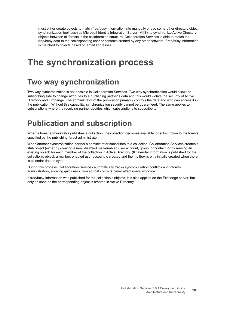must either create objects to match free/busy information into manually or use some other directory object synchronization tool, such as Microsoft Identity Integration Server (MIIS), to synchronize Active Directory objects between all forests in the collaboration structure. Collaboration Services is able to match the free/busy data to the corresponding user or contacts created by any other software. Free/busy information is matched to objects based on email addresses.

## <span id="page-9-0"></span>**The synchronization process**

### **Two way synchronization**

Two way synchronization is not possible in Collaboration Services. Two way synchronization would allow the subscribing side to change attributes to a publishing partner's data and this would violate the security of Active Directory and Exchange. The administrator of the publication primarily controls the data and who can access it in the publication. Without this capability, synchronization security cannot be guaranteed. The same applies to subscriptions where the receiving partner decides which subscriptions to subscribe to.

### **Publication and subscription**

When a forest administrator publishes a collection, the collection becomes available for subscription to the forests specified by the publishing forest administrator.

When another synchronization partner's administrator subscribes to a collection, Collaboration Services creates a stub object (either by creating a new, disabled mail-enabled user account, group, or contact, or by reusing an existing object) for each member of the collection in Active Directory. (If calendar information is published for the collection's object, a mailbox-enabled user account is created and the mailbox is only initially created when there is calendar data to sync.

During this process, Collaboration Services automatically tracks synchronization conflicts and informs administrators, allowing quick resolution so that conflicts never affect users' workflow.

If free/busy information was published for the collection's objects, it is also applied on the Exchange server, but only as soon as the corresponding object is created in Active Directory.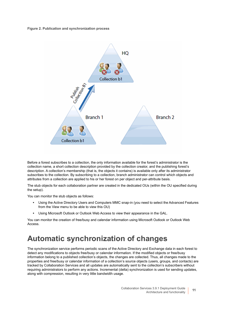#### **Figure 2. Publication and synchronization process**



Before a forest subscribes to a collection, the only information available for the forest's administrator is the collection name, a short collection description provided by the collection creator, and the publishing forest's description. A collection's membership (that is, the objects it contains) is available only after its administrator subscribes to the collection. By subscribing to a collection, branch administrator can control which objects and attributes from a collection are applied to his or her forest on per object and per-attribute basis.

The stub objects for each collaboration partner are created in the dedicated OUs (within the OU specified during the setup).

You can monitor the stub objects as follows:

- **•** Using the Active Directory Users and Computers MMC snap-in (you need to select the Advanced Features from the View menu to be able to view this OU)
- **•** Using Microsoft Outlook or Outlook Web Access to view their appearance in the GAL.

You can monitor the creation of free/busy and calendar information using Microsoft Outlook or Outlook Web Access.

## **Automatic synchronization of changes**

The synchronization service performs periodic scans of the Active Directory and Exchange data in each forest to detect any modifications to objects free/busy or calendar information. If the modified objects or free/busy information belong to a published collection's objects, the changes are collected. Thus, all changes made to the properties and free/busy or calendar information of a collection's source objects (users, groups, and contacts) are tracked by Collaboration Services and all updates are automatically sent to the collection's subscribers without requiring administrators to perform any actions. Incremental (delta) synchronization is used for sending updates, along with compression, resulting in very little bandwidth usage.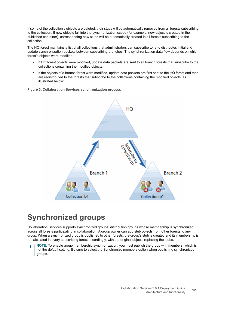If some of the collection's objects are deleted, their stubs will be automatically removed from all forests subscribing to the collection. If new objects fall into the synchronization scope (for example, new object is created in the published container), corresponding new stubs will be automatically created in all forests subscribing to the collection.

The HQ forest maintains a list of all collections that administrators can subscribe to, and distributes initial and update synchronization packets between subscribing branches. The synchronization data flow depends on which forest's objects were modified:

- **•** If HQ forest objects were modified, update data packets are sent to all branch forests that subscribe to the collections containing the modified objects.
- **•** If the objects of a branch forest were modified, update data packets are first sent to the HQ forest and then are redistributed to the forests that subscribe to the collections containing the modified objects, as illustrated below:

**Figure 3. Collaboration Services synchronization process**



## **Synchronized groups**

Collaboration Services supports synchronized groups: distribution groups whose membership is synchronized across all forests participating in collaboration. A group owner can add stub objects from other forests to any group. When a synchronized group is published to other forests, the group's stub is created and its membership is re-calculated in every subscribing forest accordingly, with the original objects replacing the stubs.

**NOTE:** To enable group membership synchronization, you must publish the group with members, which is not the default setting. Be sure to select the Synchronize members option when publishing synchronized groups.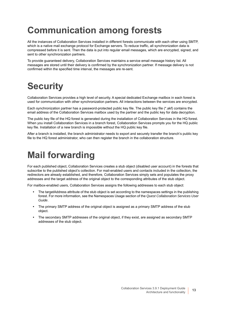# <span id="page-12-0"></span>**Communication among forests**

All the instances of Collaboration Services installed in different forests communicate with each other using SMTP, which is a native mail exchange protocol for Exchange servers. To reduce traffic, all synchronization data is compressed before it is sent. Then the data is put into regular email messages, which are encrypted, signed, and sent to other synchronization partners.

To provide guaranteed delivery, Collaboration Services maintains a service email message history list. All messages are stored until their delivery is confirmed by the synchronization partner. If message delivery is not confirmed within the specified time interval, the messages are re-sent.

# <span id="page-12-1"></span>**Security**

Collaboration Services provides a high level of security. A special dedicated Exchange mailbox in each forest is used for communication with other synchronization partners. All interactions between the services are encrypted.

Each synchronization partner has a password-protected public key file. The public key file (\*.akf) contains the email address of the Collaboration Services mailbox used by the partner and the public key for data decryption.

The public key file of the HQ forest is generated during the installation of Collaboration Services in the HQ forest. When you install Collaboration Services in a branch forest, Collaboration Services prompts you for the HQ public key file. Installation of a new branch is impossible without the HQ public key file.

After a branch is installed, the branch administrator needs to export and securely transfer the branch's public key file to the HQ forest administrator, who can then register the branch in the collaboration structure.

## <span id="page-12-3"></span><span id="page-12-2"></span>**Mail forwarding**

For each published object, Collaboration Services creates a stub object (disabled user account) in the forests that subscribe to the published object's collection. For mail-enabled users and contacts included in the collection, the redirectors are already established, and therefore, Collaboration Services simply sets and populates the proxy addresses and the target address of the original object to the corresponding attributes of the stub object.

For mailbox-enabled users, Collaboration Services assigns the following addresses to each stub object:

- **•** The targetAddress attribute of the stub object is set according to the namespaces settings in the publishing forest. For more information, see the Namespaces Usage section of the *Quest Collaboration Services User Guide*.
- **•** The primary SMTP address of the original object is assigned as a primary SMTP address of the stub object.
- **•** The secondary SMTP addresses of the original object, if they exist, are assigned as secondary SMTP addresses of the stub object.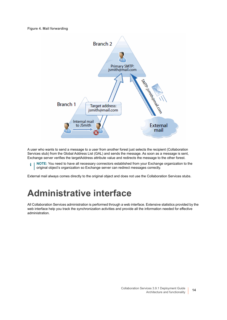

A user who wants to send a message to a user from another forest just selects the recipient (Collaboration Services stub) from the Global Address List (GAL) and sends the message. As soon as a message is sent, Exchange server verifies the targetAddress attribute value and redirects the message to the other forest.

**NOTE:** You need to have all necessary connectors established from your Exchange organization to the ì original object's organization so Exchange server can redirect messages correctly.

External mail always comes directly to the original object and does not use the Collaboration Services stubs.

## <span id="page-13-0"></span>**Administrative interface**

All Collaboration Services administration is performed through a web interface. Extensive statistics provided by the web interface help you track the synchronization activities and provide all the information needed for effective administration.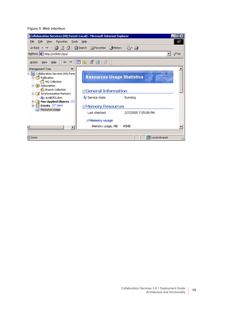**Figure 5. Web interface**

|                                                                               | Collaboration Services (HQ Forest-Local) - Microsoft Internet Explorer          | $ \Box$ $\times$ |
|-------------------------------------------------------------------------------|---------------------------------------------------------------------------------|------------------|
| File Edit View Favorites Tools Help                                           |                                                                                 |                  |
|                                                                               | $\leftarrow$ Back ▼ → ▼ ③ ② △ ③ Search a Favorites ③ History   A → A            |                  |
| Address & http://w2kdc1/qcs/                                                  |                                                                                 | P Go             |
| Help<br>Action View                                                           | $\Leftrightarrow$ $\rightarrow$ $\boxed{m}$ $\boxed{m}$ $\boxed{m}$ $\boxed{m}$ |                  |
| Management Tree<br>$\times$                                                   |                                                                                 |                  |
| - An Collaboration Services (HQ Fores<br><b>Publication</b><br>HQ Collection  | <b>Resources Usage Statistics</b>                                               |                  |
| Subscription<br><b>Branch Collection</b><br><b>E Synchronization Partners</b> | EGeneral Information                                                            |                  |
| A <sub>r</sub> qcs@2k3.dom<br>$\Box$ Non-Applied Objects (1)                  | Service state<br>Running                                                        |                  |
| El-Bill Events (17 new)                                                       | EMemory Resources                                                               |                  |
| +1 Resource Usage                                                             | Last checked<br>2/7/2005 7:25:08 PM                                             |                  |
|                                                                               | ElMemory usage                                                                  |                  |
| ◂                                                                             | 45MB<br>Memory usage, MB                                                        |                  |
|                                                                               |                                                                                 |                  |
| <sup>3</sup> ] Done                                                           | Local intranet                                                                  |                  |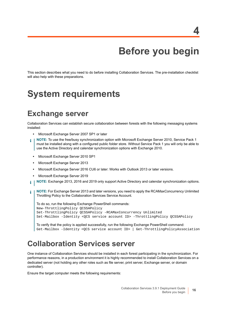# **Before you begin**

<span id="page-15-0"></span>This section describes what you need to do before installing Collaboration Services. The pre-installation checklist will also help with these preparations.

## <span id="page-15-2"></span><span id="page-15-1"></span>**System requirements**

### **Exchange server**

Collaboration Services can establish secure collaboration between forests with the following messaging systems installed:

- **•** Microsoft Exchange Server 2007 SP1 or later
- **NOTE:** To use the free/busy synchronization option with Microsoft Exchange Server 2010, Service Pack 1 f must be installed along with a configured public folder store. Without Service Pack 1 you will only be able to use the Active Directory and calendar synchronization options with Exchange 2010.
	- **•** Microsoft Exchange Server 2010 SP1
	- **•** Microsoft Exchange Server 2013
	- **•** Microsoft Exchange Server 2016 CU6 or later: Works with Outlook 2013 or later versions.
	- **•** Microsoft Exchange Server 2019
- **NOTE:** Exchange 2013, 2016 and 2019 only support Active Directory and calendar synchronization options. i l
- **NOTE:** For Exchange Server 2013 and later versions, you need to apply the RCAMaxConcurrency Unlimited ÷ Throttling Policy to the Collaboration Services Service Account.

```
To do so, run the following Exchange PowerShell commands:
New-ThrottlingPolicy QCSSAPolicy
Set-ThrottlingPolicy QCSSAPolicy -RCAMaxConcurrency Unlimited
Set-Mailbox -Identity <QCS service account ID> -ThrottlingPolicy QCSSAPolicy
```
To verify that the policy is applied successfully, run the following Exchange PowerShell command: Get-Mailbox -Identity <QCS service account ID> | Get-ThrottlingPolicyAssociation

## **Collaboration Services server**

One instance of Collaboration Services should be installed in each forest participating in the synchronization. For performance reasons, in a production environment it is highly recommended to install Collaboration Services on a dedicated server (not holding any other roles such as file server, print server, Exchange server, or domain controller).

Ensure the target computer meets the following requirements: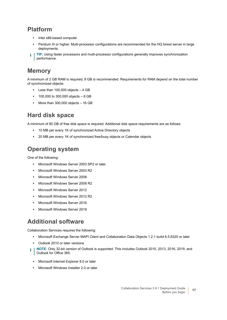### **Platform**

- **•** Intel x86-based computer
- **•** Pentium III or higher. Multi-processor configurations are recommended for the HQ forest server in large deployments.
- **TIP:** Using faster processors and multi-processor configurations generally improves synchronization performance.

### **Memory**

A minimum of 2 GB RAM is required; 8 GB is recommended. Requirements for RAM depend on the total number of synchronized objects:

- **•** Less than 100,000 objects 4 GB
- **•** 100,000 to 300,000 objects 8 GB
- **•** More than 300,000 objects 16 GB

### **Hard disk space**

A minimum of 80 GB of free disk space is required. Additional disk space requirements are as follows:

- **•** 10 MB per every 1K of synchronized Active Directory objects
- **•** 20 MB per every 1K of synchronized free/busy objects or Calendar objects

### **Operating system**

One of the following:

- **•** Microsoft Windows Server 2003 SP2 or later
- **•** Microsoft Windows Server 2003 R2
- **•** Microsoft Windows Server 2008
- **•** Microsoft Windows Server 2008 R2
- **•** Microsoft Windows Server 2012
- **•** Microsoft Windows Server 2012 R2
- **•** Microsoft Windows Server 2016
- **•** Microsoft Windows Server 2019

### **Additional software**

Collaboration Services requires the following:

- **•** Microsoft Exchange Server MAPI Client and Collaboration Data Objects 1.2.1 build 6.5.8320 or later
- **•** Outlook 2010 or later versions
- **NOTE:** Only 32-bit version of Outlook is supported. This includes Outlook 2010, 2013, 2016, 2019, and i Outlook for Office 365.
	- **•** Microsoft Internet Explorer 8.0 or later
	- **•** Microsoft Windows Installer 2.0 or later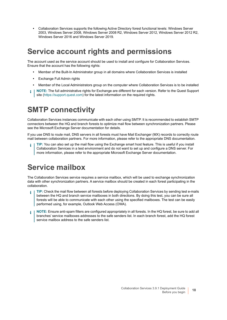**•** Collaboration Services supports the following Active Directory forest functional levels: Windows Server 2003, Windows Server 2008, Windows Server 2008 R2, Windows Server 2012, Windows Server 2012 R2, Windows Server 2016 and Windows Server 2019.

## <span id="page-17-0"></span>**Service account rights and permissions**

The account used as the service account should be used to install and configure for Collaboration Services. Ensure that the account has the following rights:

- **•** Member of the Built-In Administrator group in all domains where Collaboration Services is installed
- **•** Exchange Full Admin rights
- **•** Member of the Local Administrators group on the computer where Collaboration Services is to be installed
- **NOTE:** The full administrative rights for Exchange are different for each version. Refer to the Quest Support i site [\(https://support.quest.com](https://support.quest.com)) for the latest information on the required rights.

### **SMTP connectivity**

Collaboration Services instances communicate with each other using SMTP. It is recommended to establish SMTP connectors between the HQ and branch forests to optimize mail flow between synchronization partners. Please see the Microsoft Exchange Server documentation for details.

If you use DNS to route mail, DNS servers in all forests must have Mail Exchanger (MX) records to correctly route mail between collaboration partners. For more information, please refer to the appropriate DNS documentation.

**TIP:** You can also set up the mail flow using the Exchange smart host feature. This is useful if you install Collaboration Services in a test environment and do not want to set up and configure a DNS server. For more information, please refer to the appropriate Microsoft Exchange Server documentation.

## **Service mailbox**

The Collaboration Services service requires a service mailbox, which will be used to exchange synchronization data with other synchronization partners. A service mailbox should be created in each forest participating in the collaboration.

- **TIP:** Check the mail flow between all forests before deploying Collaboration Services by sending test e-mails ÷ between the HQ and branch service mailboxes in both directions. By doing this test, you can be sure all forests will be able to communicate with each other using the specified mailboxes. The test can be easily performed using, for example, Outlook Web Access (OWA).
- **NOTE:** Ensure anti-spam filters are configured appropriately in all forests. In the HQ forest, be sure to add all branches' service mailboxes addresses to the safe senders list. In each branch forest, add the HQ forest service mailbox address to the safe senders list.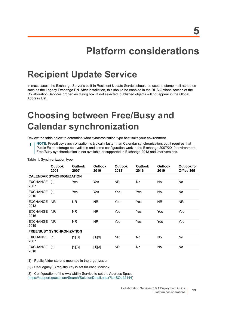# **Platform considerations**

# <span id="page-18-1"></span><span id="page-18-0"></span>**Recipient Update Service**

In most cases, the Exchange Server's built-in Recipient Update Service should be used to stamp mail attributes such as the Legacy Exchange DN. After installation, this should be enabled in the RUS Options section of the Collaboration Services properties dialog box. If not selected, published objects will not appear in the Global Address List.

# <span id="page-18-2"></span>**Choosing between Free/Busy and Calendar synchronization**

Review the table below to determine what synchronization type best suits your environment.

**NOTE:** Free/Busy synchronization is typically faster than Calendar synchronization, but it requires that î. Public Folder storage be available and some configuration work in the Exchange 2007/2010 environment. Free/Busy synchronization is not available or supported in Exchange 2013 and later versions.

|                                  | <b>Outlook</b><br>2003          | <b>Outlook</b><br>2007 | <b>Outlook</b><br>2010 | <b>Outlook</b><br>2013 | <b>Outlook</b><br>2016 | <b>Outlook</b><br>2019 | <b>Outlook for</b><br>Office 365 |
|----------------------------------|---------------------------------|------------------------|------------------------|------------------------|------------------------|------------------------|----------------------------------|
|                                  | <b>CALENDAR SYNCHRONIZATION</b> |                        |                        |                        |                        |                        |                                  |
| EXCHANGE [1]<br>2007             |                                 | Yes                    | Yes                    | NR.                    | No                     | No                     | No.                              |
| EXCHANGE [1]<br>2010             |                                 | Yes                    | Yes                    | Yes                    | Yes                    | No                     | No.                              |
| EXCHANGE NR<br>2013              |                                 | NR.                    | N <sub>R</sub>         | Yes                    | Yes                    | N <sub>R</sub>         | NR.                              |
| EXCHANGE NR<br>2016              |                                 | NR.                    | NR.                    | Yes                    | Yes                    | Yes                    | Yes                              |
| EXCHANGE NR<br>2019              |                                 | NR.                    | NR.                    | <b>Yes</b>             | <b>Yes</b>             | Yes                    | Yes                              |
| <b>FREE/BUSY SYNCHRONIZATION</b> |                                 |                        |                        |                        |                        |                        |                                  |
| EXCHANGE [1]<br>2007             |                                 | $[1][3]$               | $[1][3]$               | NR.                    | No                     | No                     | No                               |
| <b>EXCHANGE</b><br>2010          | $[1]$                           | $[1][3]$               | $[1][3]$               | NR.                    | No                     | No                     | No                               |

**Table 1.** Synchronization type

[1] - Public folder store is mounted in the organization

[2] - UseLegacyFB registry key is set for each Mailbox

[3] - Configuration of the Availability Service to set the Address Space (<https://support.quest.com/Search/SolutionDetail.aspx?id=SOL42144>)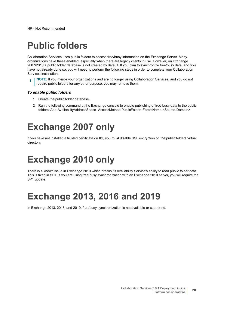# <span id="page-19-0"></span>**Public folders**

Collaboration Services uses public folders to access free/busy information on the Exchange Server. Many organizations have these enabled, especially when there are legacy clients in use. However, on Exchange 2007/2010 a public folder database is not created by default. If you plan to synchronize free/busy data, and you have not already done so, you will need to perform the following steps in order to complete your Collaboration Services installation.

**NOTE:** If you merge your organizations and are no longer using Collaboration Services, and you do not require public folders for any other purpose, you may remove them.

#### *To enable public folders*

- 1 Create the public folder database.
- 2 Run the following command at the Exchange console to enable publishing of free-busy data to the public folders: Add-AvailabilityAddressSpace -AccessMethod PublicFolder -ForestName <Source-Domain>

# <span id="page-19-1"></span>**Exchange 2007 only**

If you have not installed a trusted certificate on IIS, you must disable SSL encryption on the public folders virtual directory.

# <span id="page-19-2"></span>**Exchange 2010 only**

There is a known issue in Exchange 2010 which breaks its Availability Service's ability to read public folder data. This is fixed in SP1. If you are using free/busy synchronization with an Exchange 2010 server, you will require the SP1 update.

# <span id="page-19-3"></span>**Exchange 2013, 2016 and 2019**

In Exchange 2013, 2016, and 2019, free/busy synchronization is not available or supported.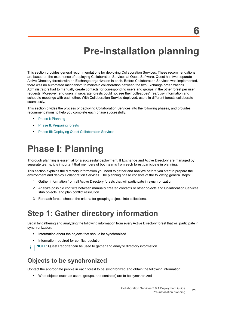# **Pre-installation planning**

<span id="page-20-0"></span>This section provides general recommendations for deploying Collaboration Services. These recommendations are based on the experience of deploying Collaboration Services at Quest Software. Quest has two separate Active Directory forests with an Exchange organization in each. Before Collaboration Services was implemented, there was no automated mechanism to maintain collaboration between the two Exchange organizations. Administrators had to manually create contacts for corresponding users and groups in the other forest per user requests. Moreover, end users in separate forests could not see their colleagues' free/busy information and schedule meetings with each other. With Collaboration Service deployed, users in different forests collaborate seamlessly.

This section divides the process of deploying Collaboration Services into the following phases, and provides recommendations to help you complete each phase successfully:

- **•** [Phase I: Planning](#page-20-1)
- **•** [Phase II: Preparing forests](#page-24-0)
- **•** [Phase III: Deploying Quest Collaboration Services](#page-25-0)

# <span id="page-20-1"></span>**Phase I: Planning**

Thorough planning is essential for a successful deployment. If Exchange and Active Directory are managed by separate teams, it is important that members of both teams from each forest participate in planning.

This section explains the directory information you need to gather and analyze before you start to prepare the environment and deploy Collaboration Services. The planning phase consists of the following general steps:

- 1 Gather information from all Active Directory forests that will participate in synchronization.
- 2 Analyze possible conflicts between manually created contacts or other objects and Collaboration Services stub objects, and plan conflict resolution.
- 3 For each forest, choose the criteria for grouping objects into collections.

### **Step 1: Gather directory information**

Begin by gathering and analyzing the following information from every Active Directory forest that will participate in synchronization:

- **•** Information about the objects that should be synchronized
- **•** Information required for conflict resolution
- i l **NOTE:** Quest Reporter can be used to gather and analyze directory information.

#### **Objects to be synchronized**

Contact the appropriate people in each forest to be synchronized and obtain the following information:

**•** What objects (such as users, groups, and contacts) are to be synchronized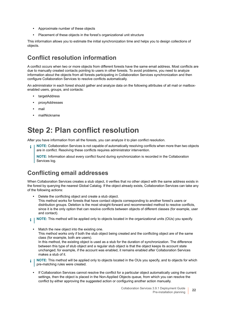- **•** Approximate number of these objects
- **•** Placement of these objects in the forest's organizational unit structure

This information allows you to estimate the initial synchronization time and helps you to design collections of objects.

### **Conflict resolution information**

A conflict occurs when two or more objects from different forests have the same email address. Most conflicts are due to manually created contacts pointing to users in other forests. To avoid problems, you need to analyze information about the objects from all forests participating in Collaboration Services synchronization and then configure Collaboration Services to resolve conflicts automatically.

An administrator in each forest should gather and analyze data on the following attributes of all mail or mailboxenabled users, groups, and contacts:

- **•** targetAddress
- **•** proxyAddresses
- **•** mail
- **•** mailNickname

## **Step 2: Plan conflict resolution**

After you have information from all the forests, you can analyze it to plan conflict resolution.

**NOTE:** Collaboration Services is not capable of automatically resolving conflicts when more than two objects ÷ are in conflict. Resolving these conflicts requires administrator intervention.

**NOTE:** Information about every conflict found during synchronization is recorded in the Collaboration Services log.

### **Conflicting email addresses**

When Collaboration Services creates a stub object, it verifies that no other object with the same address exists in the forest by querying the nearest Global Catalog. If the object already exists, Collaboration Services can take any of the following actions:

- **•** Delete the conflicting object and create a stub object. This method works for forests that have contact objects corresponding to another forest's users or distribution groups. Deletion is the most straight-forward and recommended method to resolve conflicts, since it is the only option that can resolve conflicts between objects of different classes (for example, user and contact).
- **i** | NOTE: This method will be applied only to objects located in the organizational units (OUs) you specify.
	- **•** Match the new object into the existing one. This method works only if both the stub object being created and the conflicting object are of the same class (for example, both are users). In this method, the existing object is used as a stub for the duration of synchronization. The difference between this type of stub object and a regular stub object is that the object keeps its account state unchanged; for example, if the account was enabled, it remains enabled after Collaboration Services makes a stub of it.
- **NOTE:** This method will be applied only to objects located in the OUs you specify, and to objects for which ÷ pre-matching rules were created.
	- **•** If Collaboration Services cannot resolve the conflict for a particular object automatically using the current settings, then the object is placed in the Non-Applied Objects queue, from which you can resolve the conflict by either approving the suggested action or configuring another action manually.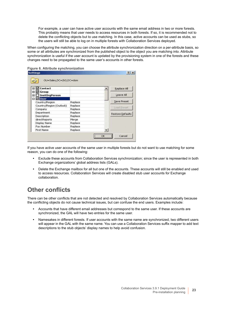For example, a user can have active user accounts with the same email address in two or more forests. This probably means that user needs to access resources in both forests. If so, it is recommended not to delete the conflicting objects but to use matching. In this case, active accounts can be used as stubs, so the users will still be able to log on in multiple forests with Collaboration Services deployed.

When configuring the matching, you can choose the attribute synchronization direction on a per-attribute basis, so some or all attributes are synchronized from the published object to the object you are matching into. Attribute synchronization is useful if the user account is updated by the provisioning system in one of the forests and these changes need to be propagated to the same user's accounts in other forests.

| OU=Sales, DC=2k3, DC=dom |         |                  |
|--------------------------|---------|------------------|
| ® Ø Contact              |         | Replace All      |
| ⊞ ⊠ Group                |         |                  |
| <b>□</b> InetOrgPerson   |         | Leave All        |
| <b>E ØUser</b>           |         |                  |
| Country/Region           | Replace | Save Preset      |
| Country/Region (Outlook) | Replace |                  |
| Company                  | Replace | Load Preset:     |
| Department               | Replace | Restore Defaults |
| Description              | Replace |                  |
| directReports            | Merge   |                  |
| Display Name             | Replace |                  |
| Fax Number               | Replace |                  |
| First Name               | Replace |                  |

#### **Figure 6. Attribute synchronization**

If you have active user accounts of the same user in multiple forests but do not want to use matching for some reason, you can do one of the following:

- **•** Exclude these accounts from Collaboration Services synchronization; since the user is represented in both Exchange organizations' global address lists (GALs).
- **•** Delete the Exchange mailbox for all but one of the accounts. These accounts will still be enabled and used to access resources. Collaboration Services will create disabled stub user accounts for Exchange collaboration.

#### **Other conflicts**

There can be other conflicts that are not detected and resolved by Collaboration Services automatically because the conflicting objects do not cause technical issues, but can confuse the end users. Examples include:

- **•** Accounts that have different email addresses but correspond to the same user. If these accounts are synchronized, the GAL will have two entries for the same user.
- **•** Namesakes in different forests. If user accounts with the same name are synchronized, two different users will appear in the GAL with the same name. You can use a Collaboration Services suffix mapper to add text descriptions to the stub objects' display names to help avoid confusion.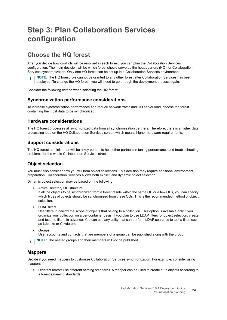## **Step 3: Plan Collaboration Services configuration**

### **Choose the HQ forest**

After you decide how conflicts will be resolved in each forest, you can plan the Collaboration Services configuration. The main decision will be which forest should serve as the headquarters (HQ) for Collaboration Services synchronization. Only one HQ forest can be set up in a Collaboration Services environment.

**NOTE:** The HQ forest role cannot be granted to any other forest after Collaboration Services has been ÷ deployed. To change the HQ forest, you will need to go through the deployment process again.

Consider the following criteria when selecting the HQ forest:

#### **Synchronization performance considerations**

To increase synchronization performance and reduce network traffic and HQ server load, choose the forest containing the most data to be synchronized.

#### **Hardware considerations**

The HQ forest processes all synchronized data from all synchronization partners. Therefore, there is a higher data processing load on the HQ Collaboration Services server, which means higher hardware requirements.

#### **Support considerations**

The HQ forest administrator will be a key person to help other partners in tuning performance and troubleshooting problems for the whole Collaboration Services structure.

#### **Object selection**

You must also consider how you will form object collections. This decision may require additional environment preparation. Collaboration Services allows both explicit and dynamic object selection.

Dynamic object selection may be based on the following:

**•** Active Directory OU structure

If all the objects to be synchronized from a forest reside within the same OU or a few OUs, you can specify which types of objects should be synchronized from these OUs. This is the recommended method of object selection.

**•** LDAP filters

Use filters to narrow the scope of objects that belong to a collection. This option is available only if you organize your collection on a per-container basis. If you plan to use LDAP filters for object selection, create and test the filters in advance. You can use any utility that can perform LDAP searches to test a filter, such as Ldp.exe or Csvde.exe.

**•** Groups

User accounts and contacts that are members of a group can be published along with the group.

**i** | NOTE: The nested groups and their members will not be published.

#### **Mappers**

Decide if you need mappers to customize Collaboration Services synchronization. For example, consider using mappers if:

**•** Different forests use different naming standards. A mapper can be used to create stub objects according to a forest's naming standards.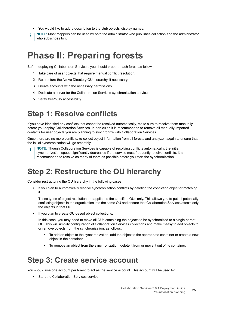- **•** You would like to add a description to the stub objects' display names.
- **NOTE:** Most mappers can be used by both the administrator who publishes collection and the administrator i who subscribes to it.

## <span id="page-24-0"></span>**Phase II: Preparing forests**

Before deploying Collaboration Services, you should prepare each forest as follows:

- 1 Take care of user objects that require manual conflict resolution.
- 2 Restructure the Active Directory OU hierarchy, if necessary.
- 3 Create accounts with the necessary permissions.
- 4 Dedicate a server for the Collaboration Services synchronization service.
- 5 Verify free/busy accessibility.

### **Step 1: Resolve conflicts**

If you have identified any conflicts that cannot be resolved automatically, make sure to resolve them manually before you deploy Collaboration Services. In particular, it is recommended to remove all manually-imported contacts for user objects you are planning to synchronize with Collaboration Services.

Once there are no more conflicts, re-collect object information from all forests and analyze it again to ensure that the initial synchronization will go smoothly.

**NOTE:** Though Collaboration Services is capable of resolving conflicts automatically, the initial synchronization speed significantly decreases if the service must frequently resolve conflicts. It is recommended to resolve as many of them as possible before you start the synchronization.

## **Step 2: Restructure the OU hierarchy**

Consider restructuring the OU hierarchy in the following cases:

**•** If you plan to automatically resolve synchronization conflicts by deleting the conflicting object or matching it.

These types of object resolution are applied to the specified OUs only. This allows you to put all potentially conflicting objects in the organization into the same OU and ensure that Collaboration Services affects only the objects in that OU.

**•** If you plan to create OU-based object collections.

In this case, you may need to move all OUs containing the objects to be synchronized to a single parent OU. This will simplify configuration of Collaboration Services collections and make it easy to add objects to or remove objects from the synchronization, as follows:

- To add an object to the synchronization, add the object to the appropriate container or create a new object in the container.
- **▪** To remove an object from the synchronization, delete it from or move it out of its container.

### **Step 3: Create service account**

You should use one account per forest to act as the service account. This account will be used to:

**•** Start the Collaboration Services service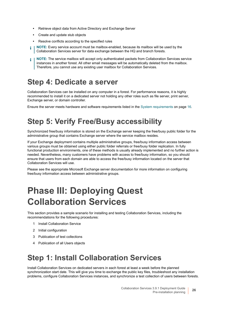- **•** Retrieve object data from Active Directory and Exchange Server
- **•** Create and update stub objects
- **•** Resolve conflicts according to the specified rules
- **NOTE:** Every service account must be mailbox-enabled, because its mailbox will be used by the ÷ Collaboration Services server for data exchange between the HQ and branch forests.
- **NOTE:** The service mailbox will accept only authenticated packets from Collaboration Services service i instances in another forest. All other email messages will be automatically deleted from the mailbox. Therefore, you cannot use any existing user mailbox for Collaboration Services.

## **Step 4: Dedicate a server**

Collaboration Services can be installed on any computer in a forest. For performance reasons, it is highly recommended to install it on a dedicated server not holding any other roles such as file server, print server, Exchange server, or domain controller.

Ensure the server meets hardware and software requirements listed in the [System requirements on page 16.](#page-15-2)

## **Step 5: Verify Free/Busy accessibility**

Synchronized free/busy information is stored on the Exchange server keeping the free/busy public folder for the administrative group that contains Exchange server where the service mailbox resides.

If your Exchange deployment contains multiple administrative groups, free/busy information access between various groups must be obtained using either public folder referrals or free/busy folder replication. In fully functional production environments, one of these methods is usually already implemented and no further action is needed. Nevertheless, many customers have problems with access to free/busy information, so you should ensure that users from each domain are able to access the free/busy information located on the server that Collaboration Services will use.

Please see the appropriate Microsoft Exchange server documentation for more information on configuring free/busy information access between administrative groups.

# <span id="page-25-0"></span>**Phase III: Deploying Quest Collaboration Services**

This section provides a sample scenario for installing and testing Collaboration Services, including the recommendations for the following procedures:

- 1 Install Collaboration Service
- 2 Initial configuration
- 3 Publication of test collections
- 4 Publication of all Users objects

## **Step 1: Install Collaboration Services**

Install Collaboration Services on dedicated servers in each forest at least a week before the planned synchronization start date. This will give you time to exchange the public key files, troubleshoot any installation problems, configure Collaboration Services instances, and synchronize a test collection of users between forests.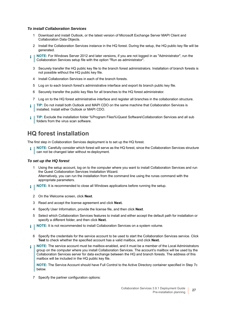#### *To install Collaboration Services*

- 1 Download and install Outlook, or the latest version of Microsoft Exchange Server MAPI Client and Collaboration Data Objects.
- 2 Install the Collaboration Services instance in the HQ forest. During the setup, the HQ public key file will be generated.
- **NOTE:** For Windows Server 2012 and later versions, if you are not logged in as "Administrator", run the ÷ Collaboration Services setup file with the option "Run as administrator".
	- 3 Securely transfer the HQ public key file to the branch forest administrators. Installation of branch forests is not possible without the HQ public key file.
	- 4 Install Collaboration Services in each of the branch forests.
	- 5 Log on to each branch forest's administrative interface and export its branch public key file.
	- 6 Securely transfer the public key files for all branches to the HQ forest administrator.
	- 7 Log on to the HQ forest administrative interface and register all branches in the collaboration structure.
- **TIP:** Do not install both Outlook and MAPI CDO on the same machine that Collaboration Services is i installed. Install either Outlook or MAPI CDO.
- **TIP:** Exclude the installation folder %Program Files%\Quest Software\Collaboration Services and all sub i. folders from the virus scan software.

#### **HQ forest installation**

The first step in Collaboration Services deployment is to set up the HQ forest.

**NOTE:** Carefully consider which forest will serve as the HQ forest, since the Collaboration Services structure ÷ can not be changed later without re-deployment.

#### *To set up the HQ forest*

- 1 Using the setup account, log on to the computer where you want to install Collaboration Services and run the Quest Collaboration Services Installation Wizard. Alternatively, you can run the installation from the command line using the runas command with the appropriate parameters.
- **i** | NOTE: It is recommended to close all Windows applications before running the setup.
	- 2 On the Welcome screen, click **Next**.
	- 3 Read and accept the license agreement and click **Next.**
	- 4 Specify User Information, provide the license file, and then click **Next**.
	- 5 Select which Collaboration Services features to install and either accept the default path for installation or specify a different folder, and then click **Next.**
- **NOTE:** It is not recommended to install Collaboration Services on a system volume. i.
	- 6 Specify the credentials for the service account to be used to start the Collaboration Services service. Click **Test** to check whether the specified account has a valid mailbox, and click **Next.**
- **NOTE:** The service account must be mailbox-enabled, and it must be a member of the Local Administrators ÷ group on the computer where you install Collaboration Services. The account's mailbox will be used by the Collaboration Services server for data exchange between the HQ and branch forests. The address of this mailbox will be included in the HQ public key file.

**NOTE:** The Service Account should have Full Control to the Active Directory container specified in Step 7c below.

7 Specify the partner configuration options: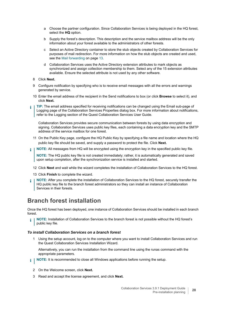- a Choose the partner configuration. Since Collaboration Services is being deployed in the HQ forest, select the **HQ** option.
- b Supply the forest's description. This description and the service mailbox address will be the only information about your forest available to the administrators of other forests.
- c Select an Active Directory container to store the stub objects created by Collaboration Services for purposes of mail redirection. For more information on how the stub objects are created and used, see the [Mail forwarding on page 13.](#page-12-3)
- d Collaboration Services uses the Active Directory extension attributes to mark objects as synchronized and assign collection membership to them. Select any of the 15 extension attributes available. Ensure the selected attribute is not used by any other software.
- 8 Click **Next.**
- 9 Configure notification by specifying who is to receive email messages with all the errors and warnings generated by service.
- 10 Enter the email address of the recipient in the Send notifications to box (or click **Browse** to select it), and click **Next.**
- **TIP:** The email address specified for receiving notifications can be changed using the Email sub-page of Logging page of the Collaboration Services Properties dialog box. For more information about notifications, refer to the Logging section of the Quest Collaboration Services User Guide.

Collaboration Services provides secure communication between forests by using data encryption and signing. Collaboration Services uses public key files, each containing a data encryption key and the SMTP address of the service mailbox for one forest.

- 11 On the Public Key page, configure the HQ Public Key by specifying a file name and location where the HQ public key file should be saved, and supply a password to protect the file. Click **Next.**
- **NOTE:** All messages from HQ will be encrypted using the encryption key in the specified public key file. i

**NOTE:** The HQ public key file is not created immediately; rather, it is automatically generated and saved upon setup completion, after the synchronization service is installed and started.

- 12 Click **Next** and wait while the wizard completes the installation of Collaboration Services to the HQ forest.
- 13 Click **Finish** to complete the wizard.
- **NOTE:** After you complete the installation of Collaboration Services to the HQ forest, securely transfer the HQ public key file to the branch forest administrators so they can install an instance of Collaboration Services in their forests.

### **Branch forest installation**

Once the HQ forest has been deployed, one instance of Collaboration Services should be installed in each branch forest.

**NOTE:** Installation of Collaboration Services to the branch forest is not possible without the HQ forest's ÷ public key file.

#### *To install Collaboration Services on a branch forest*

1 Using the setup account, log on to the computer where you want to install Collaboration Services and run the Quest Collaboration Services Installation Wizard.

Alternatively, you can run the installation from the command line using the runas command with the appropriate parameters.

- **i** | NOTE: It is recommended to close all Windows applications before running the setup.
	- 2 On the Welcome screen, click **Next.**
	- 3 Read and accept the license agreement, and click **Next.**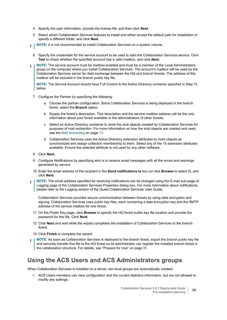- 4 Specify the user information, provide the license file, and then click **Next.**
- 5 Select which Collaboration Services features to install and either accept the default path for installation or specify a different folder, and click **Next.**
- **i** | NOTE: It is not recommended to install Collaboration Services on a system volume.
	- 6 Specify the credentials for the service account to be used to start the Collaboration Services service. Click **Test** to check whether the specified account has a valid mailbox, and click **Next.**
- **NOTE:** The service account must be mailbox-enabled and must be a member of the Local Administrators ÷ group on the computer where you install Collaboration Services. The account's mailbox will be used by the Collaboration Services server for data exchange between the HQ and branch forests. The address of this mailbox will be included in the branch public key file.

**NOTE:** The Service Account should have Full Control to the Active Directory container specified in Step 7c below.

- 7 Configure the Partner by specifying the following:
	- a Choose the partner configuration. Since Collaboration Services is being deployed in the branch forest, select the **Branch** option.
	- b Supply the forest's description. This description and the service mailbox address will be the only information about your forest available to the administrators of other forests.
	- c Select an Active Directory container to store the stub objects created by Collaboration Services for purposes of mail redirection. For more information on how the stub objects are created and used, see the [Mail forwarding on page 13.](#page-12-3)
	- d Collaboration Services uses the Active Directory extension attributes to mark objects as synchronized and assign collection membership to them. Select any of the 15 extension attributes available. Ensure the selected attribute is not used by any other software.
- 8 Click **Next.**
- 9 Configure Notifications by specifying who is to receive email messages with all the errors and warnings generated by service.
- 10 Enter the email address of the recipient in the **Send notifications to** box (or click **Browse** to select it), and click **Next.**
- **NOTE:** The email address specified for receiving notifications can be changed using the E-mail sub-page of ÷ Logging page of the Collaboration Services Properties dialog box. For more information about notifications, please refer to the Logging section of the Quest Collaboration Services User Guide.

Collaboration Services provides secure communication between forests by using data encryption and signing. Collaboration Services uses public key files, each containing a data encryption key and the SMTP address of the service mailbox for one forest.

- 11 On the Public Key page, click **Browse** to specify the HQ forest public key file location and provide the password for this file. Click **Next.**
- 12 Click **Next** and wait while the wizard completes the installation of Collaboration Services to the branch forest.
- 13 Click **Finish** to complete the wizard.
- **NOTE:** As soon as Collaboration Services is deployed to the branch forest, export the branch public key file ÷ and securely transfer this file to the HQ forest so its administrator can register the installed branch forest in the collaboration structure. For details, see "Prepare for Use" on page 31.

#### **Using the ACS Users and ACS Administrators groups**

When Collaboration Services is installed on a server, two local groups are automatically created:

**•** ACS Users members can view configuration and the current statistics information, but are not allowed to modify any settings.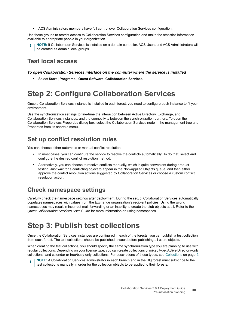**•** ACS Administrators members have full control over Collaboration Services configuration.

Use these groups to restrict access to Collaboration Services configuration and make the statistics information available to appropriate people in your organization.

**NOTE:** If Collaboration Services is installed on a domain controller, ACS Users and ACS Administrators will be created as domain local groups.

#### **Test local access**

#### *To open Collaboration Services interface on the computer where the service is installed*

**•** Select **Start | Programs | Quest Software |Collaboration Services**.

## **Step 2: Configure Collaboration Services**

Once a Collaboration Services instance is installed in each forest, you need to configure each instance to fit your environment.

Use the synchronization settings to fine-tune the interaction between Active Directory, Exchange, and Collaboration Services instances, and the connectivity between the synchronization partners. To open the Collaboration Services Properties dialog box, select the Collaboration Services node in the management tree and Properties from its shortcut menu.

### **Set up conflict resolution rules**

You can choose either automatic or manual conflict resolution:

- **•** In most cases, you can configure the service to resolve the conflicts automatically. To do that, select and configure the desired conflict resolution method.
- **•** Alternatively, you can choose to resolve conflicts manually, which is quite convenient during product testing. Just wait for a conflicting object to appear in the Non-Applied Objects queue, and then either approve the conflict resolution actions suggested by Collaboration Services or choose a custom conflict resolution action.

### **Check namespace settings**

Carefully check the namespace settings after deployment. During the setup, Collaboration Services automatically populates namespaces with values from the Exchange organization's recipient policies. Using the wrong namespaces may result in incorrect mail forwarding or an inability to create the stub objects at all. Refer to the *Quest Collaboration Services User Guide* for more information on using namespaces.

## **Step 3: Publish test collections**

Once the Collaboration Services instances are configured in each of the forests, you can publish a test collection from each forest. The test collections should be published a week before publishing all users objects.

When creating the test collections, you should specify the same synchronization type you are planning to use with regular collections. Depending on your license type, you can create collections of mixed type, Active Directory-only collections, and calendar or free/busy-only collections. For descriptions of these types, see [Collections on page 9.](#page-8-1)

**NOTE:** A Collaboration Services administrator in each branch and in the HQ forest must subscribe to the test collections manually in order for the collection objects to be applied to their forests.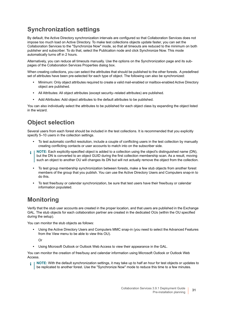### **Synchronization settings**

By default, the Active Directory synchronization intervals are configured so that Collaboration Services does not impose too much load on Active Directory. To make test collections objects update faster, you can set the Collaboration Services to the "Synchronize Now" mode, so that all timeouts are reduced to the minimum on both publisher and subscriber. To do that, select the Publication node and click Synchronize Now. This mode automatically turns off in 2 hours.

Alternatively, you can reduce all timeouts manually. Use the options on the Synchronization page and its subpages of the Collaboration Services Properties dialog box.

When creating collections, you can select the attributes that should be published to the other forests. A predefined set of attributes have been pre-selected for each type of object. The following can also be synchronized:

- **•** Minimum: Only object attributes required to create a valid mail-enabled or mailbox-enabled Active Directory object are published.
- **•** All Attributes: All object attributes (except security–related attributes) are published.
- **•** Add Attributes: Add object attributes to the default attributes to be published.

You can also individually select the attributes to be published for each object class by expanding the object listed in the wizard.

### **Object selection**

Several users from each forest should be included in the test collections. It is recommended that you explicitly specify 5–10 users in the collection settings.

- **•** To test automatic conflict resolution, include a couple of conflicting users in the test collection by manually creating conflicting contacts or user accounts to match into on the subscriber side.
- **NOTE:** Each explicitly-specified object is added to a collection using the object's distinguished name (DN), ÷ but the DN is converted to an object GUID during the first collection membership scan. As a result, moving such an object to another OU will changes its DN but will not actually remove the object from the collection.
	- **•** To test group membership synchronization between forests, make a few stub objects from another forest members of the group that you publish. You can use the Active Directory Users and Computers snap-in to do this.
	- **•** To test free/busy or calendar synchronization, be sure that test users have their free/busy or calendar information populated.

### **Monitoring**

Verify that the stub user accounts are created in the proper location, and that users are published in the Exchange GAL. The stub objects for each collaboration partner are created in the dedicated OUs (within the OU specified during the setup).

You can monitor the stub objects as follows:

**•** Using the Active Directory Users and Computers MMC snap-in (you need to select the Advanced Features from the View menu to be able to view this OU).

Or

**•** Using Microsoft Outlook or Outlook Web Access to view their appearance in the GAL.

You can monitor the creation of free/busy and calendar information using Microsoft Outlook or Outlook Web Access.

**NOTE:** With the default synchronization settings, it may take up to half an hour for test objects or updates to be replicated to another forest. Use the "Synchronize Now" mode to reduce this time to a few minutes.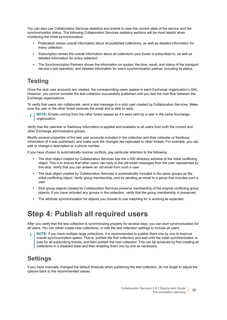You can also use Collaboration Services statistics and events to view the current state of the service and the synchronization status. The following Collaboration Services statistics sections will be most helpful when monitoring the initial synchronization:

- **•** Publication shows overall information about all published collections, as well as detailed information for every collection.
- **•** Subscription shows the overall information about all collections your forest is subscribed to, as well as detailed information for every collection.
- **•** The Synchronization Partners shows the information on quotas; the time, result, and status of the transport service's last operation; and detailed information for every synchronization partner, including its status.

### **Testing**

Once the stub user accounts are created, the corresponding users appear in each Exchange organization's GAL. However, you cannot consider the test collection successfully published until you test the mail flow between the Exchange organizations.

To verify that users can collaborate, send a test message to a stub user created by Collaboration Services. Make sure the user in the other forest receives the email and is able to reply.

**NOTE:** Emails coming from the other forest appear as if it were sent by a user in the same Exchange organization.

Verify that the calendar or free/busy information is applied and available to all users from both the current and other Exchange administrative groups.

Modify several properties of the test user accounts included in the collection and their calendar or free/busy information (if it was published), and make sure the changes are replicated to other forests. For example, you can add or change a description or a phone number.

If you have chosen to automatically resolve conflicts, pay particular attention to the following:

- **•** The stub object created by Collaboration Services has the x.500 directory address of the initial conflicting object. This is to ensure that other users can reply to the old email messages from the user represented by this stub. Verify that you can answer an old email from such a user.
- **•** The stub object created by Collaboration Services is automatically included in the same groups as the initial conflicting object. Verify group membership, and try sending an email to a group that includes such a user.
- **•** Stub group objects created by Collaboration Services preserve membership of the original conflicting group objects. If you have included any groups in the collection, verify that the group membership is preserved.
- **•** The attribute synchronization for objects you choose to use matching for is working as expected.

## **Step 4: Publish all required users**

After you verify that the test collection is synchronizing properly for several days, you can start synchronization for all users. You can either create new collections, or edit the test collection settings to include all users.

**NOTE:** If you have multiple large collections, it is recommended to publish them one by one to improve overall synchronization speed. That is, publish the first collection and wait until the initial synchronization is over for all subscribing forests, and then publish the next collection. This can be achieved by first creating all collections in a disabled state and then enabling them one by one as necessary.

### **Settings**

If you have manually changed the default timeouts when publishing the test collection, do not forget to adjust the options back to the recommended values.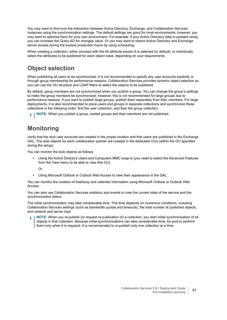You may want to fine-tune the interaction between Active Directory, Exchange, and Collaboration Services instances using the synchronization settings. The default settings are good for most environments; however, you may want to optimize them for your own environment. For example, if your Active Directory data is updated rarely, you can increase the Query AD for changes value. Or you may want to restrict Active Directory and Exchange server access during the busiest production hours by using scheduling.

When creating a collection, either proceed with the All attribute preset (it is selected by default), or individually select the attributes to be published for each object class, depending on your requirements.

### **Object selection**

When publishing all users to be synchronized, it is not recommended to specify any user accounts explicitly or through group membership for performance reasons. Collaboration Services provides dynamic object selection so you can use the OU structure and LDAP filters to select the objects to be published.

By default, group members are not synchronized when you publish a group. You can change the group's settings to make the group members be synchronized; however, this is not recommended for large groups due to performance reasons. If you want to publish large groups, publish them separately from their members. For large deployments, it is also recommended to place users and groups in separate collections and synchronize these collections in the following order: first the user collection, and then the group collection.

**NOTE:** When you publish a group, nested groups and their members are not published. i I

### **Monitoring**

Verify that the stub user accounts are created in the proper location and that users are published in the Exchange GAL. The stub objects for each collaboration partner are created in the dedicated OUs (within the OU specified during the setup).

You can monitor the stub objects as follows:

**•** Using the Active Directory Users and Computers MMC snap-in (you need to select the Advanced Features from the View menu to be able to view this OU).

Or

**•** Using Microsoft Outlook or Outlook Web Access to view their appearance in the GAL.

You can monitor the creation of free/busy and calendar information using Microsoft Outlook or Outlook Web Access.

You can also use Collaboration Services statistics and events to view the current state of the service and the synchronization status.

The initial synchronization may take considerable time. This time depends on numerous conditions, including Collaboration Services settings (such as bandwidth quotas and timeouts), the total number of published objects, and network and server load.

**NOTE:** When you re-publish (or request re-publication of) a collection, you start initial synchronization of all objects in that collection. Because initial synchronizations can take considerable time, be sure to perform them only when it is required. It is recommended to re-publish only one collection at a time.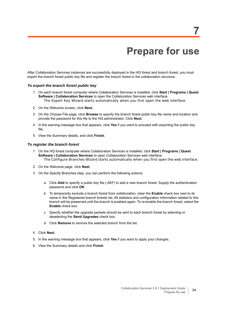# **Prepare for use**

<span id="page-33-0"></span>After Collaboration Services instances are successfully deployed in the HQ forest and branch forest, you must export the branch forest public key file and register the branch forest in the collaboration structure.

#### *To export the branch forest public key*

- 1 On each branch forest computer where Collaboration Services is installed, click **Start | Programs | Quest Software | Collaboration Services** to open the Collaboration Services web interface. *The Export Key Wizard starts automatically when you first open the web interface.*
- 2 On the Welcome screen, click **Next.**
- 3 On the Choose File page, click **Browse** to specify the branch forest public key file name and location and provide the password for this file to the HQ administrator. Click **Next.**
- 4 In the warning message box that appears, click **Yes** if you want to proceed with exporting the public key file.
- 5 View the Summary details, and click **Finish**.

#### *To register the branch forest*

- 1 On the HQ forest computer where Collaboration Services is installed, click **Start | Programs | Quest Software | Collaboration Services** to open Collaboration Services web interface. *The Configure Branches Wizard starts automatically when you first open the web interface.*
- 2 On the Welcome page, click **Next.**
- 3 On the Specify Branches step, you can perform the following actions:
	- a Click **Add** to specify a public key file (.AKF) to add a new branch forest. Supply the authentication password and click **OK**.
	- b To temporarily exclude a branch forest from collaboration, clear the **Enable** check box next to its name in the Registered branch forests list. All statistics and configuration information related to this branch will be preserved until the branch is enabled again. To re-enable the branch forest, select the **Enable** check box.
	- c Specify whether the upgrade packets should be sent to each branch forest by selecting or deselecting the **Send Upgrades** check box.
	- d Click **Remove** to remove the selected branch from the list.
- 4 Click **Next.**
- 5 In the warning message box that appears, click **Yes** if you want to apply your changes.
- 6 View the Summary details and click **Finish**.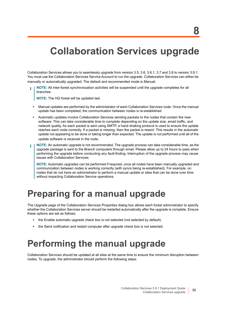# <span id="page-34-0"></span>**Collaboration Services upgrade**

Collaboration Services allows you to seamlessly upgrade from version 3.5, 3.6, 3.6.1, 3.7 and 3.8 to version 3.9.1. You must use the Collaboration Services Service Account to run the upgrade. Collaboration Services can either be manually or automatically upgraded. The default and recommended mode is Manual.

**NOTE:** All inter-forest synchronization activities will be suspended until the upgrade completes for all branches.

**NOTE:** The HQ forest will be updated last.

- **•** Manual updates are performed by the administrator of each Collaboration Services node. Once the manual update has been completed, the communication between nodes is re-established.
- **•** Automatic updates involve Collaboration Services sending packets to the nodes that contain the new software. This can take considerable time to complete depending on the update size, email traffic, and network quality. As each packet is sent using SMTP, a hand shaking protocol is used to ensure the update reaches each node correctly. If a packet is missing, then the packet is resent. This results in the automatic update not appearing to be done or taking longer than expected. The update is not performed until all of the update software is received in the node.
- **NOTE:** An automatic upgrade is not recommended. The upgrade process can take considerable time, as the ÷ upgrade package is sent to the Branch computers through email. Please allow up to 24 hours to pass when performing the upgrade before conducting any fault-finding. Interruption of the upgrade process may cause issues with Collaboration Services.

**NOTE:** Automatic upgrades can be performed if required, once all nodes have been manually upgraded and communication between nodes is working correctly (with syncs being re-established). For example, on nodes that do not have an administrator to perform a manual update or sites that can be done over time without impacting Collaboration Service operations.

## <span id="page-34-1"></span>**Preparing for a manual upgrade**

The Upgrade page of the Collaboration Services Properties dialog box allows each forest administrator to specify whether the Collaboration Services server should be restarted automatically after the upgrade is complete. Ensure these options are set as follows:

- **•** the Enable automatic upgrade check box is not selected (not selected by default).
- **•** the Send notification and restart computer after upgrade check box is not selected.

## <span id="page-34-2"></span>**Performing the manual upgrade**

Collaboration Services should be updated at all sites at the same time to ensure the minimum disruption between nodes. To upgrade, the administrator should perform the following steps: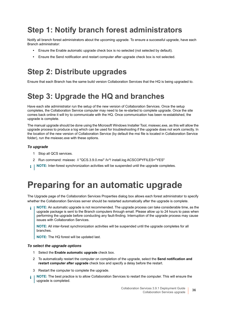## **Step 1: Notify branch forest administrators**

Notify all branch forest administrators about the upcoming upgrade. To ensure a successful upgrade, have each Branch administrator:

- **•** Ensure the Enable automatic upgrade check box is no selected (not selected by default).
- **•** Ensure the Send notification and restart computer after upgrade check box is not selected.

## **Step 2: Distribute upgrades**

Ensure that each Branch has the same build version Collaboration Services that the HQ is being upgraded to.

## **Step 3: Upgrade the HQ and branches**

Have each site administrator run the setup of the new version of Collaboration Services. Once the setup completes, the Collaboration Service computer may need to be re-started to complete upgrade. Once the site comes back online it will try to communicate with the HQ. Once communication has been re-established, the upgrade is complete.

The manual upgrade should be done using the Microsoft Windows Installer Tool, msiexec.exe, as this will allow the upgrade process to produce a log which can be used for troubleshooting if the upgrade does not work correctly. In the location of the new version of Collaboration Service (by default the msi file is located in Collaboration Service folder), run the msiexec.exe with these options.

#### *To upgrade*

- 1 Stop all QCS services.
- 2 Run command: msiexec /i "QCS.3.9.0.msi" /lv\*! install.log ACSCOPYFILES="YES"
- **i** | NOTE: Inter-forest synchronization activities will be suspended until the upgrade completes.

## <span id="page-35-0"></span>**Preparing for an automatic upgrade**

The Upgrade page of the Collaboration Services Properties dialog box allows each forest administrator to specify whether the Collaboration Services server should be restarted automatically after the upgrade is complete.

**NOTE:** An automatic upgrade is not recommended. The upgrade process can take considerable time, as the upgrade package is sent to the Branch computers through email. Please allow up to 24 hours to pass when performing the upgrade before conducting any fault-finding. Interruption of the upgrade process may cause issues with Collaboration Services.

**NOTE:** All inter-forest synchronization activities will be suspended until the upgrade completes for all branches.

**NOTE:** The HQ forest will be updated last.

#### *To select the upgrade options*

- 1 Select the **Enable automatic upgrade** check box.
- 2 To automatically restart the computer on completion of the upgrade, select the **Send notification and restart computer after upgrade** check box and specify a delay before the restart.
- 3 Restart the computer to complete the upgrade.
- **NOTE:** The best practice is to allow Collaboration Services to restart the computer. This will ensure the i upgrade is completed.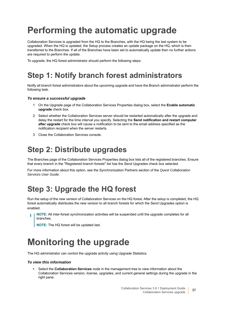# <span id="page-36-0"></span>**Performing the automatic upgrade**

Collaboration Services is upgraded from the HQ to the Branches, with the HQ being the last system to be upgraded. When the HQ is updated, the Setup process creates an update package on the HQ, which is then transferred to the Branches. If all of the Branches have been set to automatically update then no further actions are required to perform the update.

To upgrade, the HQ forest administrator should perform the following steps:

## **Step 1: Notify branch forest administrators**

Notify all branch forest administrators about the upcoming upgrade and have the Branch administrator perform the following task.

#### *To ensure a successful upgrade*

- 1 On the Upgrade page of the Collaboration Services Properties dialog box, select the **Enable automatic upgrade** check box.
- 2 Select whether the Collaboration Services server should be restarted automatically after the upgrade and delay the restart for the time interval you specify. Selecting the **Send notification and restart computer after upgrade** check box will cause a notification to be sent to the email address specified as the notification recipient when the server restarts.
- 3 Close the Collaboration Services console.

## **Step 2: Distribute upgrades**

The Branches page of the Collaboration Services Properties dialog box lists all of the registered branches. Ensure that every branch in the "Registered branch forests" list has the Send Upgrades check box selected.

For more information about this option, see the Synchronization Partners section of the *Quest Collaboration Services User Guide*.

## **Step 3: Upgrade the HQ forest**

Run the setup of the new version of Collaboration Services on the HQ forest. After the setup is completed, the HQ forest automatically distributes the new version to all branch forests for which the Send Upgrades option is enabled.

**NOTE:** All inter-forest synchronization activities will be suspended until the upgrade completes for all f. branches.

**NOTE:** The HQ forest will be updated last.

## <span id="page-36-1"></span>**Monitoring the upgrade**

The HQ administrator can control the upgrade activity using Upgrade Statistics.

#### *To view this information*

**•** Select the **Collaboration Services** node in the management tree to view information about the Collaboration Services version, license, upgrades, and current general settings during the upgrade in the right pane.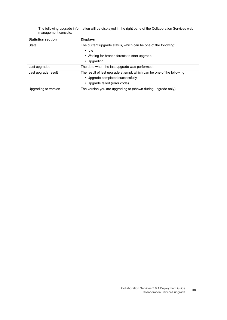The following upgrade information will be displayed in the right pane of the Collaboration Services web management console:

| <b>Statistics section</b> | <b>Displays</b>                                                        |
|---------------------------|------------------------------------------------------------------------|
| State                     | The current upgrade status, which can be one of the following:         |
|                           | $\cdot$ Idle                                                           |
|                           | • Waiting for branch forests to start upgrade                          |
|                           | • Upgrading                                                            |
| Last upgraded             | The date when the last upgrade was performed.                          |
| Last upgrade result       | The result of last upgrade attempt, which can be one of the following: |
|                           | • Upgrade completed successfully                                       |
|                           | • Upgrade failed (error code)                                          |
| Upgrading to version      | The version you are upgrading to (shown during upgrade only).          |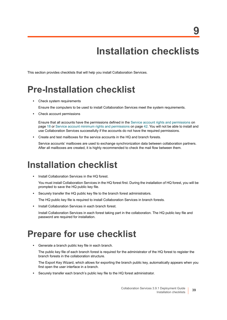**9**

<span id="page-38-4"></span><span id="page-38-0"></span>This section provides checklists that will help you install Collaboration Services.

# <span id="page-38-1"></span>**Pre-Installation checklist**

**•** Check system requirements

Ensure the computers to be used to install Collaboration Services meet the system requirements.

**•** Check account permissions

Ensure that all accounts have the permissions defined in the [Service account rights and permissions on](#page-17-0)  [page 18](#page-17-0) or [Service account minimum rights and permissions on page 42](#page-41-2). You will not be able to install and use Collaboration Services successfully if the accounts do not have the required permissions.

**•** Create and test mailboxes for the service accounts in the HQ and branch forests.

Service accounts' mailboxes are used to exchange synchronization data between collaboration partners. After all mailboxes are created, it is highly recommended to check the mail flow between them.

## <span id="page-38-2"></span>**Installation checklist**

**•** Install Collaboration Services in the HQ forest.

You must install Collaboration Services in the HQ forest first. During the installation of HQ forest, you will be prompted to save the HQ public key file.

**•** Securely transfer the HQ public key file to the branch forest administrators.

The HQ public key file is required to install Collaboration Services in branch forests.

**•** Install Collaboration Services in each branch forest.

Install Collaboration Services in each forest taking part in the collaboration. The HQ public key file and password are required for installation.

## <span id="page-38-3"></span>**Prepare for use checklist**

**•** Generate a branch public key file in each branch.

The public key file of each branch forest is required for the administrator of the HQ forest to register the branch forests in the collaboration structure.

The Export Key Wizard, which allows for exporting the branch public key, automatically appears when you first open the user interface in a branch.

**•** Securely transfer each branch's public key file to the HQ forest administrator.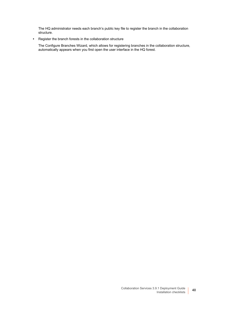The HQ administrator needs each branch's public key file to register the branch in the collaboration structure.

**•** Register the branch forests in the collaboration structure

The Configure Branches Wizard, which allows for registering branches in the collaboration structure, automatically appears when you first open the user interface in the HQ forest.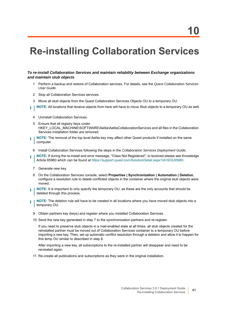# <span id="page-40-0"></span>**Re-installing Collaboration Services**

#### *To re-install Collaboration Services and maintain reliability between Exchange organizations and maintain stub objects*

- 1 Perform a backup and restore of Collaboration services. For details, see the *Quest Collaboration Services User Guide*.
- 2 Stop all Collaboration Services services.
- 3 Move all stub objects from the Quest Collaboration Services Objects OU to a temporary OU.
- **NOTE:** All locations that receive objects from here will have to move Stub objects to a temporary OU as well. i l
	- 4 Uninstall Collaboration Services.
	- 5 Ensure that all registry keys under HKEY\_LOCAL\_MACHINE\SOFTWARE\Aelita\AelitaCollaborationServices and all files in the Collaboration Services installation folder are removed.
- **NOTE:** The removal of the top level Aelita key may affect other Quest products if installed on the same ÷ computer.
	- 6 Install Collaboration Services following the steps in the *Collaboration Services Deployment Guide*.
- **NOTE:** If during the re-install and error message, "Class Not Registered", is received please see Knowledge ÷ Article 65960 which can be found at <https://support.quest.com/SolutionDetail.aspx?id=SOL65960>.
	- 7 Generate new key.
	- 8 On the Collaboration Services console, select **Properties | Synchronization | Automation | Deletion**, configure a resolution rule to delete conflicted objects in the container where the original stub objects were moved.
- **NOTE:** It is important to only specify the temporary OU, as these are the only accounts that should be ÷ deleted through this process.
- **NOTE:** The deletion rule will have to be created in all locations where you have moved stub objects into a i. temporary OU.
	- 9 Obtain partners key (keys) and register where you installed Collaboration Services.
	- 10 Send the new key generated in step 7 to the synchronization partners and re-register.

If you need to preserve stub objects in a mail-enabled state at all times, all stub objects created for the reinstalled partner must be moved out of Collaboration Services container to a temporary OU before importing a new key. Then, set up automatic conflict resolution through a deletion and allow it to happen for this temp OU similar to described in step 8.

After importing a new key, all subscriptions to the re-installed partner will disappear and need to be recreated again.

11 Re-create all publications and subscriptions as they were in the original installation.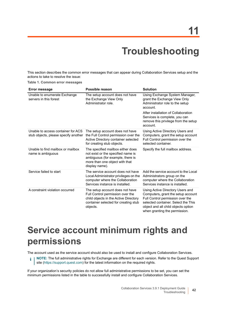# **Troubleshooting**

<span id="page-41-0"></span>This section describes the common error messages that can appear during Collaboration Services setup and the actions to take to resolve the issue:

|  |  |  |  | Table 1. Common error messages |
|--|--|--|--|--------------------------------|
|--|--|--|--|--------------------------------|

| <b>Error message</b>                                                       | Possible reason                                                                                                                                                  | <b>Solution</b>                                                                                                                                                                                                           |
|----------------------------------------------------------------------------|------------------------------------------------------------------------------------------------------------------------------------------------------------------|---------------------------------------------------------------------------------------------------------------------------------------------------------------------------------------------------------------------------|
| Unable to enumerate Exchange<br>servers in this forest                     | The setup account does not have<br>the Exchange View Only<br>Administrator role.                                                                                 | Using Exchange System Manager,<br>grant the Exchange View Only<br>Administrator role to the setup<br>account.                                                                                                             |
|                                                                            |                                                                                                                                                                  | After installation of Collaboration<br>Services is complete, you can<br>remove this privilege from the setup<br>account.                                                                                                  |
| Unable to access container for ACS<br>stub objects, please specify another | The setup account does not have<br>the Full Control permission over the<br>Active Directory container selected<br>for creating stub objects.                     | Using Active Directory Users and<br>Computers, grant the setup account<br>Full Control permission over the<br>selected container.                                                                                         |
| Unable to find mailbox or mailbox<br>name is ambiguous                     | The specified mailbox either does<br>not exist or the specified name is<br>ambiguous (for example, there is<br>more than one object with that<br>display name).  | Specify the full mailbox address.                                                                                                                                                                                         |
| Service failed to start                                                    | The service account does not have<br>Local Administrator privileges on the<br>computer where the Collaboration<br>Services instance is installed.                | Add the service account to the Local<br>Administrators group on the<br>computer where the Collaboration<br>Services instance is installed.                                                                                |
| A constraint violation occurred                                            | The setup account does not have<br>Full Control permission over the<br>child objects in the Active Directory<br>container selected for creating stub<br>objects. | Using Active Directory Users and<br>Computers, grant the setup account<br>Full Control permission over the<br>selected container. Select the This<br>object and all child objects option<br>when granting the permission. |

## <span id="page-41-2"></span><span id="page-41-1"></span>**Service account minimum rights and permissions**

The account used as the service account should also be used to install and configure Collaboration Services.

**i** | NOTE: The full administrative rights for Exchange are different for each version. Refer to the Quest Support site [\(https://support.quest.com](https://support.quest.com/)) for the latest information on the required rights.

If your organization's security policies do not allow full administrative permissions to be set, you can set the minimum permissions listed in the table to successfully install and configure Collaboration Services.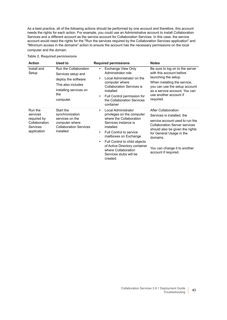As a best practice, all of the following actions should be performed by one account and therefore, this account needs the rights for each action. For example, you could use an Administrative account to install Collaboration Services and a different account as the service account for Collaboration Services. In this case, the service account would need the rights for the "Run the services required by the Collaboration Services application" and "Minimum access in the domains" action to ensure the account has the necessary permissions on the local computer and the domain.

| <b>Action</b>                                                                  | Used to                                                                                                                                 | <b>Required permissions</b>                                                                                                                                                                                                                                                                                                                         | <b>Notes</b>                                                                                                                                                                                                                                                    |
|--------------------------------------------------------------------------------|-----------------------------------------------------------------------------------------------------------------------------------------|-----------------------------------------------------------------------------------------------------------------------------------------------------------------------------------------------------------------------------------------------------------------------------------------------------------------------------------------------------|-----------------------------------------------------------------------------------------------------------------------------------------------------------------------------------------------------------------------------------------------------------------|
| Install and<br>Setup                                                           | Run the Collaboration<br>Services setup and<br>deploy the software.<br>This also includes<br>installing services on<br>the<br>computer. | Exchange View Only<br>$\bullet$<br>Administrator role<br>Local Administrator on the<br>$\bullet$<br>computer where<br><b>Collaboration Services is</b><br>installed<br>Full Control permission for<br>$\bullet$<br>the Collaboration Services<br>container                                                                                          | Be sure to log on to the server<br>with this account before<br>launching the setup.<br>When installing the service,<br>you can use the setup account<br>as a service account. You can<br>use another account if<br>required.                                    |
| Run the<br>services<br>required by<br>Collaboration<br>Services<br>application | Start the<br>synchronization<br>services on the<br>computer where<br><b>Collaboration Services</b><br>installed.                        | Local Administrator<br>$\bullet$<br>privileges on the computer<br>where the Collaboration<br>Services instance is<br>installed.<br><b>Full Control to service</b><br>$\bullet$<br>mailboxes on Exchange<br>Full Control to child objects<br>$\bullet$<br>of Active Directory container<br>where Collaboration<br>Services stubs will be<br>created. | After Collaboration<br>Services is installed, the<br>service account used to run the<br><b>Collaboration Server services</b><br>should also be given the rights<br>for General Usage in the<br>domains.<br>You can change it to another<br>account if required. |

#### **Table 2. Required permissions**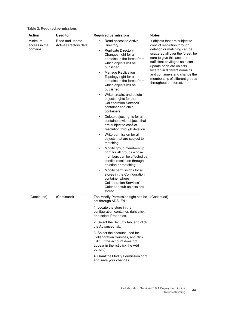| <b>Action</b>                       | <b>Used to</b>                           | <b>Required permissions</b>                                                                                                                                                                                                                                                                                                                                                                                                                                                                                                                                                                                                                                                                                                                                                                                                                                          | <b>Notes</b>                                                                                                                                                                                                                                                                                                                                               |
|-------------------------------------|------------------------------------------|----------------------------------------------------------------------------------------------------------------------------------------------------------------------------------------------------------------------------------------------------------------------------------------------------------------------------------------------------------------------------------------------------------------------------------------------------------------------------------------------------------------------------------------------------------------------------------------------------------------------------------------------------------------------------------------------------------------------------------------------------------------------------------------------------------------------------------------------------------------------|------------------------------------------------------------------------------------------------------------------------------------------------------------------------------------------------------------------------------------------------------------------------------------------------------------------------------------------------------------|
| Minimum<br>access in the<br>domains | Read and update<br>Active Directory data | Read access to Active<br>Directory<br><b>Replicate Directory</b><br>٠<br>Changes right for all<br>domains in the forest from<br>which objects will be<br>published<br><b>Manage Replication</b><br>٠<br>Topology right for all<br>domains in the forest from<br>which objects will be<br>published<br>Write, create, and delete<br>٠<br>objects rights for the<br><b>Collaboration Services</b><br>container and child<br>containers<br>Delete object rights for all<br>٠<br>containers with objects that<br>are subject to conflict<br>resolution through deletion<br>Write permission for all<br>٠<br>objects that are subject to<br>matching<br>Modify group membership<br>٠<br>right for all groups whose<br>members can be affected by<br>conflict resolution through<br>deletion or matching<br>Modify permissions for all<br>٠<br>stores in the Configuration | If objects that are subject to<br>conflict resolution through<br>deletion or matching can be<br>scattered all over the forest, be<br>sure to give this account<br>sufficient privileges so it can<br>update or delete objects<br>located in different domains<br>and containers and change the<br>membership of different groups<br>throughout the forest. |
|                                     |                                          | container where<br><b>Collaboration Services'</b><br>Calendar stub objects are<br>stored.                                                                                                                                                                                                                                                                                                                                                                                                                                                                                                                                                                                                                                                                                                                                                                            |                                                                                                                                                                                                                                                                                                                                                            |
| (Continued)                         | (Continued)                              | The Modify Permission right can be<br>set through ADSI Edit.                                                                                                                                                                                                                                                                                                                                                                                                                                                                                                                                                                                                                                                                                                                                                                                                         | (Continued)                                                                                                                                                                                                                                                                                                                                                |
|                                     |                                          | 1. Locate the store in the<br>configuration container, right-click<br>and select Properties.                                                                                                                                                                                                                                                                                                                                                                                                                                                                                                                                                                                                                                                                                                                                                                         |                                                                                                                                                                                                                                                                                                                                                            |
|                                     |                                          | 2. Select the Security tab, and click<br>the Advanced tab.                                                                                                                                                                                                                                                                                                                                                                                                                                                                                                                                                                                                                                                                                                                                                                                                           |                                                                                                                                                                                                                                                                                                                                                            |
|                                     |                                          | 3. Select the account used for<br>Collaboration Services, and click<br>Edit. (If the account does not<br>appear in the list click the Add<br>button.)                                                                                                                                                                                                                                                                                                                                                                                                                                                                                                                                                                                                                                                                                                                |                                                                                                                                                                                                                                                                                                                                                            |
|                                     |                                          | 4. Grant the Modify Permission right<br>and save your changes.                                                                                                                                                                                                                                                                                                                                                                                                                                                                                                                                                                                                                                                                                                                                                                                                       |                                                                                                                                                                                                                                                                                                                                                            |